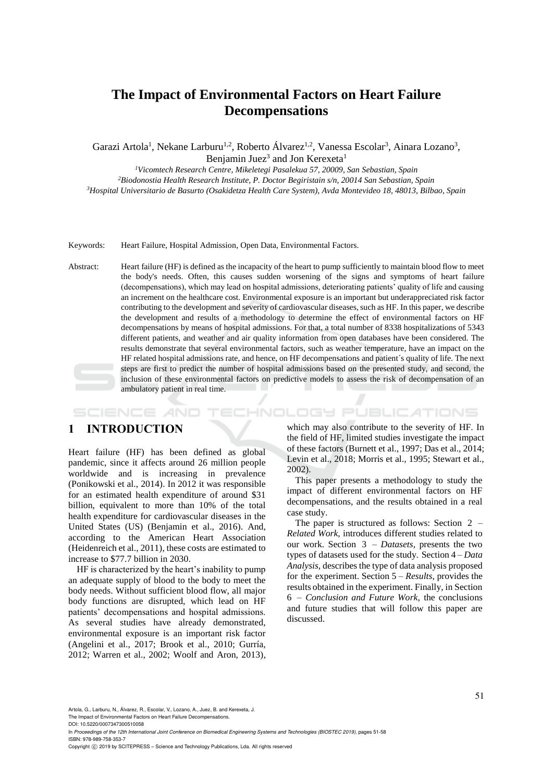# **The Impact of Environmental Factors on Heart Failure Decompensations**

Garazi Artola<sup>1</sup>, Nekane Larburu<sup>1,2</sup>, Roberto Álvarez<sup>1,2</sup>, Vanessa Escolar<sup>3</sup>, Ainara Lozano<sup>3</sup>, Benjamin Juez<sup>3</sup> and Jon Kerexeta<sup>1</sup>

*<sup>1</sup>Vicomtech Research Centre, Mikeletegi Pasalekua 57, 20009, San Sebastian, Spain*

*<sup>2</sup>Biodonostia Health Research Institute, P. Doctor Begiristain s/n, 20014 San Sebastian, Spain <sup>3</sup>Hospital Universitario de Basurto (Osakidetza Health Care System), Avda Montevideo 18, 48013, Bilbao, Spain*

Keywords: Heart Failure, Hospital Admission, Open Data, Environmental Factors.

Abstract: Heart failure (HF) is defined as the incapacity of the heart to pump sufficiently to maintain blood flow to meet the body's needs. Often, this causes sudden worsening of the signs and symptoms of heart failure (decompensations), which may lead on hospital admissions, deteriorating patients' quality of life and causing an increment on the healthcare cost. Environmental exposure is an important but underappreciated risk factor contributing to the development and severity of cardiovascular diseases, such as HF. In this paper, we describe the development and results of a methodology to determine the effect of environmental factors on HF decompensations by means of hospital admissions. For that, a total number of 8338 hospitalizations of 5343 different patients, and weather and air quality information from open databases have been considered. The results demonstrate that several environmental factors, such as weather temperature, have an impact on the HF related hospital admissions rate, and hence, on HF decompensations and patient´s quality of life. The next steps are first to predict the number of hospital admissions based on the presented study, and second, the inclusion of these environmental factors on predictive models to assess the risk of decompensation of an ambulatory patient in real time.

**ECHNOLOGY PUBLICATIONS** SCIENCE *A*ND

## **1 INTRODUCTION**

Heart failure (HF) has been defined as global pandemic, since it affects around 26 million people worldwide and is increasing in prevalence (Ponikowski et al., 2014). In 2012 it was responsible for an estimated health expenditure of around \$31 billion, equivalent to more than 10% of the total health expenditure for cardiovascular diseases in the United States (US) (Benjamin et al., 2016). And, according to the American Heart Association (Heidenreich et al., 2011), these costs are estimated to increase to \$77.7 billion in 2030.

HF is characterized by the heart's inability to pump an adequate supply of blood to the body to meet the body needs. Without sufficient blood flow, all major body functions are disrupted, which lead on HF patients' decompensations and hospital admissions. As several studies have already demonstrated, environmental exposure is an important risk factor (Angelini et al., 2017; Brook et al., 2010; Gurría, 2012; Warren et al., 2002; Woolf and Aron, 2013),

which may also contribute to the severity of HF. In the field of HF, limited studies investigate the impact of these factors (Burnett et al., 1997; Das et al., 2014; Levin et al., 2018; Morris et al., 1995; Stewart et al., 2002).

This paper presents a methodology to study the impact of different environmental factors on HF decompensations, and the results obtained in a real case study.

The paper is structured as follows: Section 2 – *Related Work,* introduces different studies related to our work. Section 3 – *Datasets,* presents the two types of datasets used for the study. Section 4 – *Data Analysis,* describes the type of data analysis proposed for the experiment. Section 5 – *Results*, provides the results obtained in the experiment. Finally, in Section 6 – *Conclusion and Future Work,* the conclusions and future studies that will follow this paper are discussed.

Artola, G., Larburu, N., Álvarez, B., Escolar, V., Lozano, A., Juez, B. and Kerexeta, J.

The Impact of Environmental Factors on Heart Failure Decompensations.

DOI: 10.5220/0007347300510058

In *Proceedings of the 12th International Joint Conference on Biomedical Engineering Systems and Technologies (BIOSTEC 2019)*, pages 51-58 ISBN: 978-989-758-353-7

Copyright C 2019 by SCITEPRESS - Science and Technology Publications, Lda. All rights reserved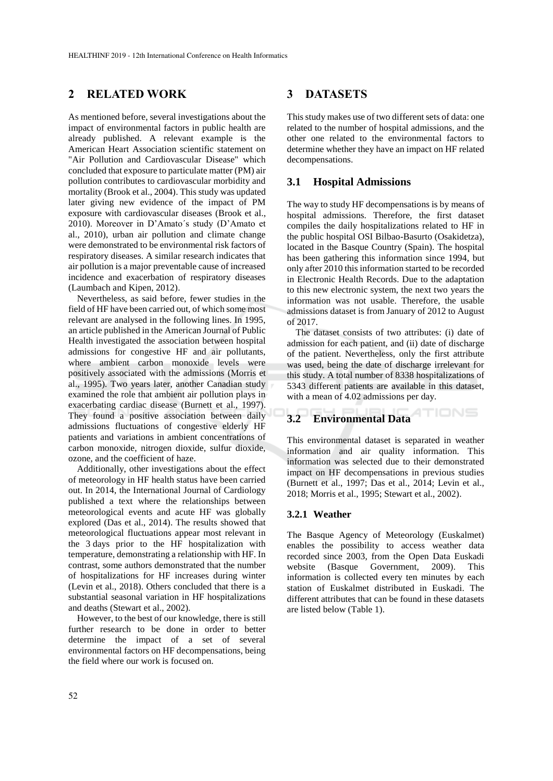## **2 RELATED WORK**

As mentioned before, several investigations about the impact of environmental factors in public health are already published. A relevant example is the American Heart Association scientific statement on "Air Pollution and Cardiovascular Disease" which concluded that exposure to particulate matter (PM) air pollution contributes to cardiovascular morbidity and mortality (Brook et al., 2004). This study was updated later giving new evidence of the impact of PM exposure with cardiovascular diseases (Brook et al., 2010). Moreover in D'Amato´s study (D'Amato et al., 2010), urban air pollution and climate change were demonstrated to be environmental risk factors of respiratory diseases. A similar research indicates that air pollution is a major preventable cause of increased incidence and exacerbation of respiratory diseases (Laumbach and Kipen, 2012).

Nevertheless, as said before, fewer studies in the field of HF have been carried out, of which some most relevant are analysed in the following lines. In 1995, an article published in the American Journal of Public Health investigated the association between hospital admissions for congestive HF and air pollutants, where ambient carbon monoxide levels were positively associated with the admissions (Morris et al., 1995). Two years later, another Canadian study examined the role that ambient air pollution plays in exacerbating cardiac disease (Burnett et al., 1997). They found a positive association between daily admissions fluctuations of congestive elderly HF patients and variations in ambient concentrations of carbon monoxide, nitrogen dioxide, sulfur dioxide, ozone, and the coefficient of haze.

Additionally, other investigations about the effect of meteorology in HF health status have been carried out. In 2014, the International Journal of Cardiology published a text where the relationships between meteorological events and acute HF was globally explored (Das et al., 2014). The results showed that meteorological fluctuations appear most relevant in the 3 days prior to the HF hospitalization with temperature, demonstrating a relationship with HF. In contrast, some authors demonstrated that the number of hospitalizations for HF increases during winter (Levin et al., 2018). Others concluded that there is a substantial seasonal variation in HF hospitalizations and deaths (Stewart et al., 2002).

However, to the best of our knowledge, there is still further research to be done in order to better determine the impact of a set of several environmental factors on HF decompensations, being the field where our work is focused on.

### **3 DATASETS**

This study makes use of two different sets of data: one related to the number of hospital admissions, and the other one related to the environmental factors to determine whether they have an impact on HF related decompensations.

#### **3.1 Hospital Admissions**

The way to study HF decompensations is by means of hospital admissions. Therefore, the first dataset compiles the daily hospitalizations related to HF in the public hospital OSI Bilbao-Basurto (Osakidetza), located in the Basque Country (Spain). The hospital has been gathering this information since 1994, but only after 2010 this information started to be recorded in Electronic Health Records. Due to the adaptation to this new electronic system, the next two years the information was not usable. Therefore, the usable admissions dataset is from January of 2012 to August of 2017.

The dataset consists of two attributes: (i) date of admission for each patient, and (ii) date of discharge of the patient. Nevertheless, only the first attribute was used, being the date of discharge irrelevant for this study. A total number of 8338 hospitalizations of 5343 different patients are available in this dataset, with a mean of 4.02 admissions per day.

#### **ATIONS 3.2 Environmental Data**

This environmental dataset is separated in weather information and air quality information. This information was selected due to their demonstrated impact on HF decompensations in previous studies (Burnett et al., 1997; Das et al., 2014; Levin et al., 2018; Morris et al., 1995; Stewart et al., 2002).

#### **3.2.1 Weather**

The Basque Agency of Meteorology (Euskalmet) enables the possibility to access weather data recorded since 2003, from the Open Data Euskadi website (Basque Government, 2009). This information is collected every ten minutes by each station of Euskalmet distributed in Euskadi. The different attributes that can be found in these datasets are listed below (Table 1).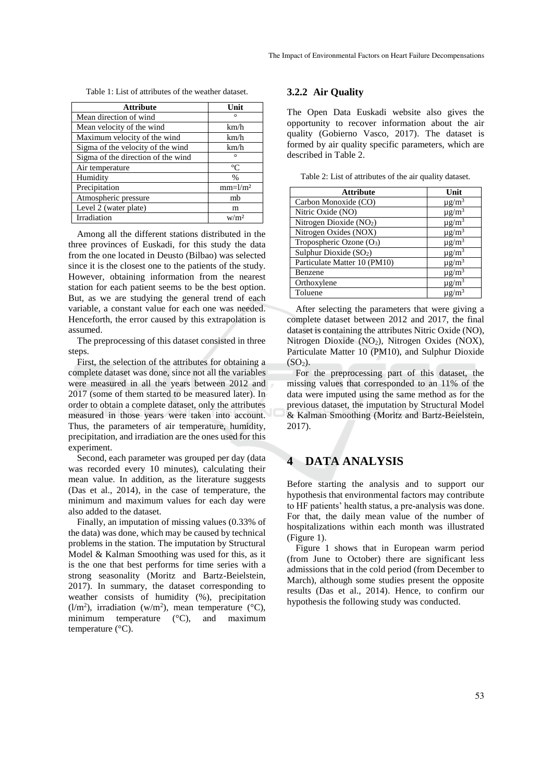Table 1: List of attributes of the weather dataset.

| <b>Attribute</b>                   | Unit             |
|------------------------------------|------------------|
| Mean direction of wind             | $\circ$          |
| Mean velocity of the wind          | km/h             |
| Maximum velocity of the wind       | km/h             |
| Sigma of the velocity of the wind  | km/h             |
| Sigma of the direction of the wind | $\circ$          |
| Air temperature                    | $^{\circ}C$      |
| Humidity                           | $\frac{0}{0}$    |
| Precipitation                      | $mm=l/m2$        |
| Atmospheric pressure               | mb               |
| Level 2 (water plate)              | m                |
| Irradiation                        | w/m <sup>2</sup> |

Among all the different stations distributed in the three provinces of Euskadi, for this study the data from the one located in Deusto (Bilbao) was selected since it is the closest one to the patients of the study. However, obtaining information from the nearest station for each patient seems to be the best option. But, as we are studying the general trend of each variable, a constant value for each one was needed. Henceforth, the error caused by this extrapolation is assumed.

The preprocessing of this dataset consisted in three steps.

First, the selection of the attributes for obtaining a complete dataset was done, since not all the variables were measured in all the years between 2012 and 2017 (some of them started to be measured later). In order to obtain a complete dataset, only the attributes measured in those years were taken into account. Thus, the parameters of air temperature, humidity, precipitation, and irradiation are the ones used for this experiment.

Second, each parameter was grouped per day (data was recorded every 10 minutes), calculating their mean value. In addition, as the literature suggests (Das et al., 2014), in the case of temperature, the minimum and maximum values for each day were also added to the dataset.

Finally, an imputation of missing values (0.33% of the data) was done, which may be caused by technical problems in the station. The imputation by Structural Model & Kalman Smoothing was used for this, as it is the one that best performs for time series with a strong seasonality (Moritz and Bartz-Beielstein, 2017). In summary, the dataset corresponding to weather consists of humidity (%), precipitation  $(l/m<sup>2</sup>)$ , irradiation (w/m<sup>2</sup>), mean temperature (°C), minimum temperature (°C), and maximum temperature (°C).

#### **3.2.2 Air Quality**

The Open Data Euskadi website also gives the opportunity to recover information about the air quality (Gobierno Vasco, 2017). The dataset is formed by air quality specific parameters, which are described in Table 2.

Table 2: List of attributes of the air quality dataset.

| <b>Attribute</b>                     | Unit                   |
|--------------------------------------|------------------------|
| Carbon Monoxide (CO)                 | $\mu$ g/m <sup>3</sup> |
| Nitric Oxide (NO)                    | $\mu$ g/m <sup>3</sup> |
| Nitrogen Dioxide (NO <sub>2</sub> )  | $\mu$ g/m <sup>3</sup> |
| Nitrogen Oxides (NOX)                | $\mu$ g/m <sup>3</sup> |
| Tropospheric Ozone (O <sub>3</sub> ) | $\mu$ g/m <sup>3</sup> |
| Sulphur Dioxide (SO <sub>2</sub> )   | $\mu$ g/m <sup>3</sup> |
| Particulate Matter 10 (PM10)         | $\mu$ g/m <sup>3</sup> |
| Benzene                              | $\mu$ g/m <sup>3</sup> |
| Orthoxylene                          | $\mu$ g/m <sup>3</sup> |
| Toluene                              | $\mu$ g/m <sup>3</sup> |

After selecting the parameters that were giving a complete dataset between 2012 and 2017, the final dataset is containing the attributes Nitric Oxide (NO), Nitrogen Dioxide  $(NO<sub>2</sub>)$ , Nitrogen Oxides  $(NOX)$ , Particulate Matter 10 (PM10), and Sulphur Dioxide  $(SO<sub>2</sub>)$ .

For the preprocessing part of this dataset, the missing values that corresponded to an 11% of the data were imputed using the same method as for the previous dataset, the imputation by Structural Model & Kalman Smoothing (Moritz and Bartz-Beielstein, 2017).

## **4 DATA ANALYSIS**

Before starting the analysis and to support our hypothesis that environmental factors may contribute to HF patients' health status, a pre-analysis was done. For that, the daily mean value of the number of hospitalizations within each month was illustrated (Figure 1).

Figure 1 shows that in European warm period (from June to October) there are significant less admissions that in the cold period (from December to March), although some studies present the opposite results (Das et al., 2014). Hence, to confirm our hypothesis the following study was conducted.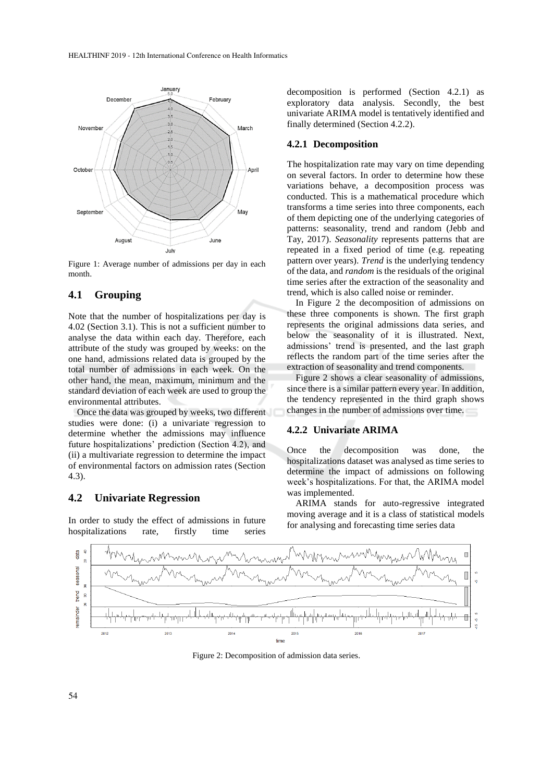

Figure 1: Average number of admissions per day in each month.

### **4.1 Grouping**

Note that the number of hospitalizations per day is 4.02 (Section 3.1). This is not a sufficient number to analyse the data within each day. Therefore, each attribute of the study was grouped by weeks: on the one hand, admissions related data is grouped by the total number of admissions in each week. On the other hand, the mean, maximum, minimum and the standard deviation of each week are used to group the environmental attributes.

Once the data was grouped by weeks, two different studies were done: (i) a univariate regression to determine whether the admissions may influence future hospitalizations' prediction (Section 4.2), and (ii) a multivariate regression to determine the impact of environmental factors on admission rates (Section 4.3).

### **4.2 Univariate Regression**

In order to study the effect of admissions in future hospitalizations rate, firstly time series

decomposition is performed (Section 4.2.1) as exploratory data analysis. Secondly, the best univariate ARIMA model is tentatively identified and finally determined (Section 4.2.2).

#### **4.2.1 Decomposition**

The hospitalization rate may vary on time depending on several factors. In order to determine how these variations behave, a decomposition process was conducted. This is a mathematical procedure which transforms a time series into three components, each of them depicting one of the underlying categories of patterns: seasonality, trend and random (Jebb and Tay, 2017). *Seasonality* represents patterns that are repeated in a fixed period of time (e.g. repeating pattern over years). *Trend* is the underlying tendency of the data, and *random* is the residuals of the original time series after the extraction of the seasonality and trend, which is also called noise or reminder.

In Figure 2 the decomposition of admissions on these three components is shown. The first graph represents the original admissions data series, and below the seasonality of it is illustrated. Next, admissions' trend is presented, and the last graph reflects the random part of the time series after the extraction of seasonality and trend components.

Figure 2 shows a clear seasonality of admissions, since there is a similar pattern every year. In addition, the tendency represented in the third graph shows changes in the number of admissions over time.

#### **4.2.2 Univariate ARIMA**

Once the decomposition was done, the hospitalizations dataset was analysed as time series to determine the impact of admissions on following week's hospitalizations. For that, the ARIMA model was implemented.

ARIMA stands for auto-regressive integrated moving average and it is a class of statistical models for analysing and forecasting time series data



Figure 2: Decomposition of admission data series.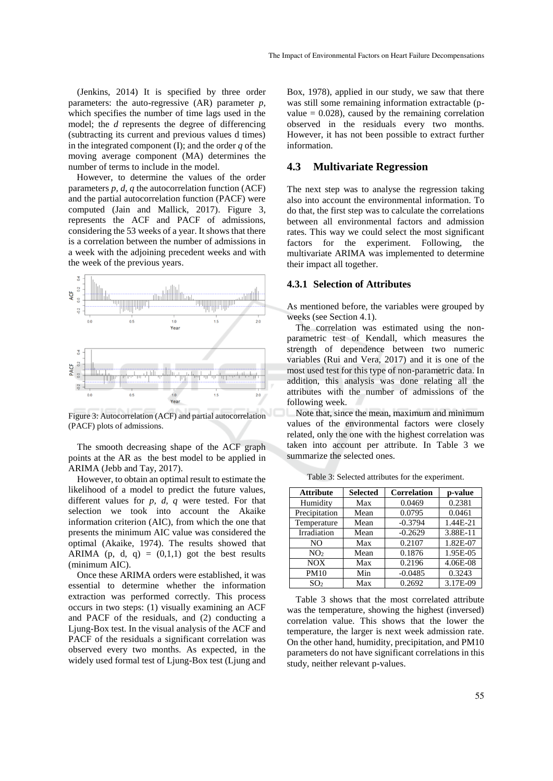(Jenkins, 2014) It is specified by three order parameters: the auto-regressive (AR) parameter *p*, which specifies the number of time lags used in the model; the *d* represents the degree of differencing (subtracting its current and previous values d times) in the integrated component (I); and the order *q* of the moving average component (MA) determines the number of terms to include in the model.

However, to determine the values of the order parameters *p, d, q* the autocorrelation function (ACF) and the partial autocorrelation function (PACF) were computed (Jain and Mallick, 2017). Figure 3, represents the ACF and PACF of admissions, considering the 53 weeks of a year. It shows that there is a correlation between the number of admissions in a week with the adjoining precedent weeks and with the week of the previous years.



Figure 3: Autocorrelation (ACF) and partial autocorrelation (PACF) plots of admissions.

The smooth decreasing shape of the ACF graph points at the AR as the best model to be applied in ARIMA (Jebb and Tay, 2017).

However, to obtain an optimal result to estimate the likelihood of a model to predict the future values, different values for *p, d, q* were tested. For that selection we took into account the Akaike information criterion (AIC), from which the one that presents the minimum AIC value was considered the optimal (Akaike, 1974). The results showed that ARIMA (p, d, q) =  $(0,1,1)$  got the best results (minimum AIC).

Once these ARIMA orders were established, it was essential to determine whether the information extraction was performed correctly. This process occurs in two steps: (1) visually examining an ACF and PACF of the residuals, and (2) conducting a Ljung-Box test. In the visual analysis of the ACF and PACF of the residuals a significant correlation was observed every two months. As expected, in the widely used formal test of Ljung-Box test (Ljung and

Box, 1978), applied in our study, we saw that there was still some remaining information extractable (pvalue  $= 0.028$ ), caused by the remaining correlation observed in the residuals every two months. However, it has not been possible to extract further information.

### **4.3 Multivariate Regression**

The next step was to analyse the regression taking also into account the environmental information. To do that, the first step was to calculate the correlations between all environmental factors and admission rates. This way we could select the most significant factors for the experiment. Following, the multivariate ARIMA was implemented to determine their impact all together.

#### **4.3.1 Selection of Attributes**

As mentioned before, the variables were grouped by weeks (see Section 4.1).

The correlation was estimated using the nonparametric test of Kendall, which measures the strength of dependence between two numeric variables (Rui and Vera, 2017) and it is one of the most used test for this type of non-parametric data. In addition, this analysis was done relating all the attributes with the number of admissions of the following week.

Note that, since the mean, maximum and minimum values of the environmental factors were closely related, only the one with the highest correlation was taken into account per attribute. In Table 3 we summarize the selected ones.

| <b>Attribute</b> | <b>Selected</b> | <b>Correlation</b> | p-value  |
|------------------|-----------------|--------------------|----------|
| Humidity         | Max             | 0.0469             | 0.2381   |
| Precipitation    | Mean            | 0.0795             | 0.0461   |
| Temperature      | Mean            | $-0.3794$          | 1.44E-21 |
| Irradiation      | Mean            | $-0.2629$          | 3.88E-11 |
| NO.              | Max             | 0.2107             | 1.82E-07 |
| NO <sub>2</sub>  | Mean            | 0.1876             | 1.95E-05 |
| <b>NOX</b>       | Max             | 0.2196             | 4.06E-08 |
| <b>PM10</b>      | Min             | $-0.0485$          | 0.3243   |
| SO <sub>2</sub>  | Max             | 0.2692             | 3.17E-09 |

Table 3: Selected attributes for the experiment.

Table 3 shows that the most correlated attribute was the temperature, showing the highest (inversed) correlation value. This shows that the lower the temperature, the larger is next week admission rate. On the other hand, humidity, precipitation, and PM10 parameters do not have significant correlations in this study, neither relevant p-values.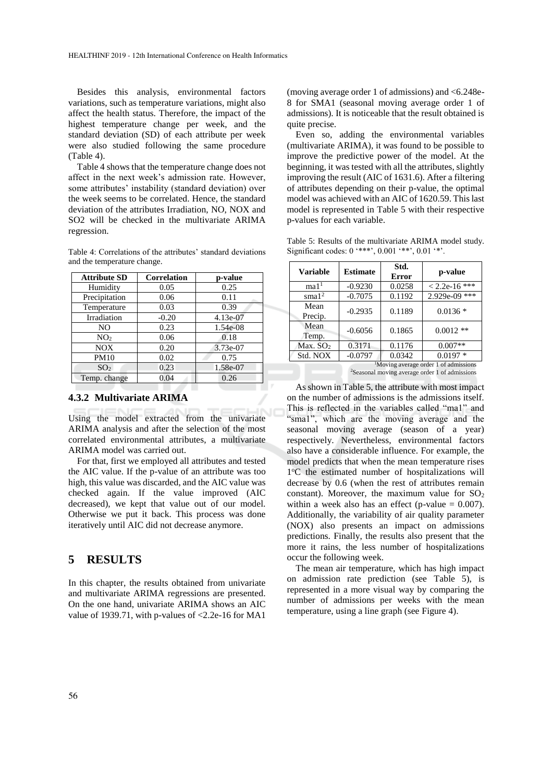Besides this analysis, environmental factors variations, such as temperature variations, might also affect the health status. Therefore, the impact of the highest temperature change per week, and the standard deviation (SD) of each attribute per week were also studied following the same procedure (Table 4).

Table 4 shows that the temperature change does not affect in the next week's admission rate. However, some attributes' instability (standard deviation) over the week seems to be correlated. Hence, the standard deviation of the attributes Irradiation, NO, NOX and SO2 will be checked in the multivariate ARIMA regression.

Table 4: Correlations of the attributes' standard deviations and the temperature change.

| <b>Attribute SD</b> | <b>Correlation</b> | p-value  |
|---------------------|--------------------|----------|
| Humidity            | 0.05               | 0.25     |
| Precipitation       | 0.06               | 0.11     |
| Temperature         | 0.03               | 0.39     |
| Irradiation         | $-0.20$            | 4.13e-07 |
| NO.                 | 0.23               | 1.54e-08 |
| NO <sub>2</sub>     | 0.06               | 0.18     |
| <b>NOX</b>          | 0.20               | 3.73e-07 |
| <b>PM10</b>         | 0.02               | 0.75     |
| SO <sub>2</sub>     | 0.23               | 1.58e-07 |
| Temp. change        | 0.04               | 0.26     |

#### **4.3.2 Multivariate ARIMA**

Using the model extracted from the univariate ARIMA analysis and after the selection of the most correlated environmental attributes, a multivariate ARIMA model was carried out.

For that, first we employed all attributes and tested the AIC value. If the p-value of an attribute was too high, this value was discarded, and the AIC value was checked again. If the value improved (AIC decreased), we kept that value out of our model. Otherwise we put it back. This process was done iteratively until AIC did not decrease anymore.

### **5 RESULTS**

In this chapter, the results obtained from univariate and multivariate ARIMA regressions are presented. On the one hand, univariate ARIMA shows an AIC value of 1939.71, with p-values of  $\langle 2.2e-16$  for MA1

(moving average order 1 of admissions) and <6.248e-8 for SMA1 (seasonal moving average order 1 of admissions). It is noticeable that the result obtained is quite precise.

Even so, adding the environmental variables (multivariate ARIMA), it was found to be possible to improve the predictive power of the model. At the beginning, it was tested with all the attributes, slightly improving the result (AIC of 1631.6). After a filtering of attributes depending on their p-value, the optimal model was achieved with an AIC of 1620.59. This last model is represented in Table 5 with their respective p-values for each variable.

Table 5: Results of the multivariate ARIMA model study. Significant codes:  $0$  '\*\*\*',  $0.001$  '\*\*',  $0.01$  '\*'.

| <b>Variable</b>                                   | <b>Estimate</b> | Std.<br><b>Error</b> | p-value         |
|---------------------------------------------------|-----------------|----------------------|-----------------|
| ma1 <sup>1</sup>                                  | $-0.9230$       | 0.0258               | $< 2.2e-16$ *** |
| $s$ ma $12$                                       | $-0.7075$       | 0.1192               | 2.929e-09 ***   |
| Mean<br>Precip.                                   | $-0.2935$       | 0.1189               | $0.0136*$       |
| Mean<br>Temp.                                     | $-0.6056$       | 0.1865               | $0.0012**$      |
| Max. $SO2$                                        | 0.3171          | 0.1176               | $0.007**$       |
| Std. NOX                                          | $-0.0797$       | 0.0342               | $0.0197*$       |
| <sup>1</sup> Moving average order 1 of admissions |                 |                      |                 |

<sup>2</sup>Seasonal moving average order 1 of admissions

As shown in Table 5, the attribute with most impact on the number of admissions is the admissions itself. This is reflected in the variables called "ma1" and "sma1", which are the moving average and the seasonal moving average (season of a year) respectively. Nevertheless, environmental factors also have a considerable influence. For example, the model predicts that when the mean temperature rises 1°C the estimated number of hospitalizations will decrease by 0.6 (when the rest of attributes remain constant). Moreover, the maximum value for  $SO<sub>2</sub>$ within a week also has an effect (p-value  $= 0.007$ ). Additionally, the variability of air quality parameter (NOX) also presents an impact on admissions predictions. Finally, the results also present that the more it rains, the less number of hospitalizations occur the following week.

The mean air temperature, which has high impact on admission rate prediction (see Table 5), is represented in a more visual way by comparing the number of admissions per weeks with the mean temperature, using a line graph (see Figure 4).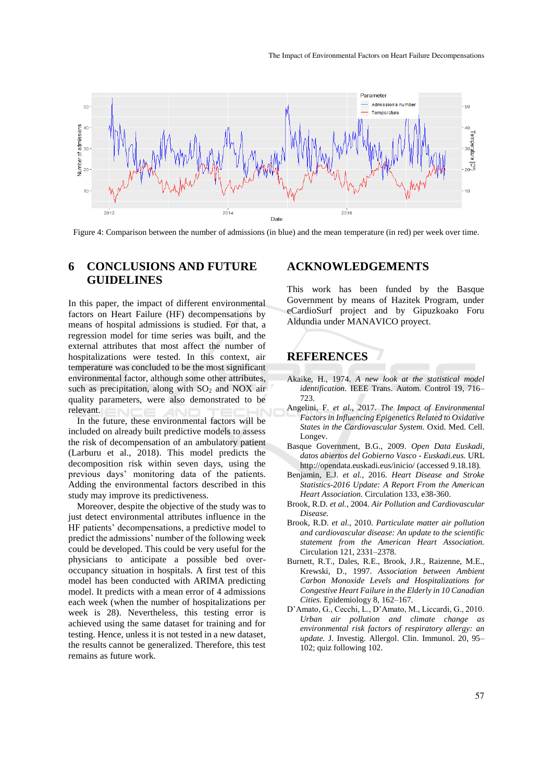

Figure 4: Comparison between the number of admissions (in blue) and the mean temperature (in red) per week over time.

## **6 CONCLUSIONS AND FUTURE GUIDELINES**

In this paper, the impact of different environmental factors on Heart Failure (HF) decompensations by means of hospital admissions is studied. For that, a regression model for time series was built, and the external attributes that most affect the number of hospitalizations were tested. In this context, air temperature was concluded to be the most significant environmental factor, although some other attributes, such as precipitation, along with  $SO_2$  and NOX air quality parameters, were also demonstrated to be relevant.

In the future, these environmental factors will be included on already built predictive models to assess the risk of decompensation of an ambulatory patient (Larburu et al., 2018). This model predicts the decomposition risk within seven days, using the previous days' monitoring data of the patients. Adding the environmental factors described in this study may improve its predictiveness.

Moreover, despite the objective of the study was to just detect environmental attributes influence in the HF patients' decompensations, a predictive model to predict the admissions' number of the following week could be developed. This could be very useful for the physicians to anticipate a possible bed overoccupancy situation in hospitals. A first test of this model has been conducted with ARIMA predicting model. It predicts with a mean error of 4 admissions each week (when the number of hospitalizations per week is 28). Nevertheless, this testing error is achieved using the same dataset for training and for testing. Hence, unless it is not tested in a new dataset, the results cannot be generalized. Therefore, this test remains as future work.

### **ACKNOWLEDGEMENTS**

This work has been funded by the Basque Government by means of Hazitek Program, under eCardioSurf project and by Gipuzkoako Foru Aldundia under MANAVICO proyect.

## **REFERENCES**

- Akaike, H., 1974. *A new look at the statistical model identification.* IEEE Trans. Autom. Control 19, 716– 723.
- Angelini, F. *et al.*, 2017. *The Impact of Environmental Factors in Influencing Epigenetics Related to Oxidative States in the Cardiovascular System.* Oxid. Med. Cell. Longev.
- Basque Government, B.G., 2009. *Open Data Euskadi, datos abiertos del Gobierno Vasco - Euskadi.eus.* URL http://opendata.euskadi.eus/inicio/ (accessed 9.18.18).
- Benjamin, E.J. *et al.*, 2016. *Heart Disease and Stroke Statistics-2016 Update: A Report From the American Heart Association.* Circulation 133, e38-360.
- Brook, R.D. *et al.*, 2004. *Air Pollution and Cardiovascular Disease.*
- Brook, R.D. *et al.*, 2010. *Particulate matter air pollution and cardiovascular disease: An update to the scientific statement from the American Heart Association.* Circulation 121, 2331–2378.
- Burnett, R.T., Dales, R.E., Brook, J.R., Raizenne, M.E., Krewski, D., 1997. *Association between Ambient Carbon Monoxide Levels and Hospitalizations for Congestive Heart Failure in the Elderly in 10 Canadian Cities.* Epidemiology 8, 162–167.
- D'Amato, G., Cecchi, L., D'Amato, M., Liccardi, G., 2010. *Urban air pollution and climate change as environmental risk factors of respiratory allergy: an update.* J. Investig. Allergol. Clin. Immunol. 20, 95– 102; quiz following 102.